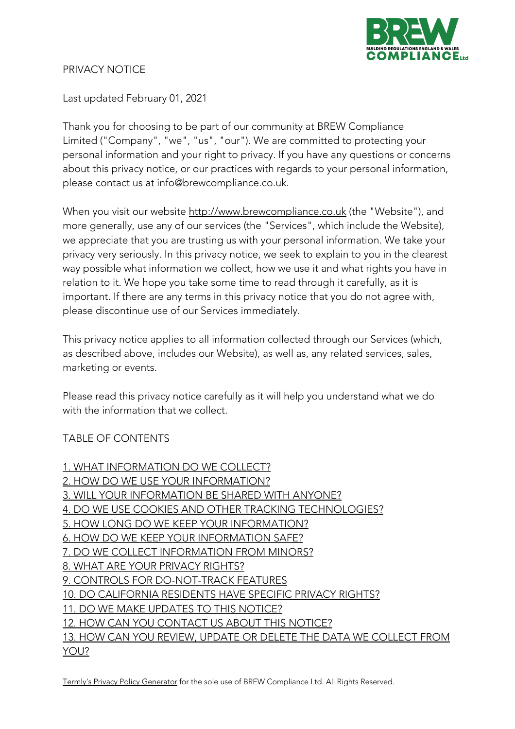

#### PRIVACY NOTICE

Last updated February 01, 2021

Thank you for choosing to be part of our community at BREW Compliance Limited ("Company", "we", "us", "our"). We are committed to protecting your personal information and your right to privacy. If you have any questions or concerns about this privacy notice, or our practices with regards to your personal information, please contact us at info@brewcompliance.co.uk.

When you visit our website http://www.brewcompliance.co.uk (the "Website"), and more generally, use any of our services (the "Services", which include the Website), we appreciate that you are trusting us with your personal information. We take your privacy very seriously. In this privacy notice, we seek to explain to you in the clearest way possible what information we collect, how we use it and what rights you have in relation to it. We hope you take some time to read through it carefully, as it is important. If there are any terms in this privacy notice that you do not agree with, please discontinue use of our Services immediately.

This privacy notice applies to all information collected through our Services (which, as described above, includes our Website), as well as, any related services, sales, marketing or events.

Please read this privacy notice carefully as it will help you understand what we do with the information that we collect.

## TABLE OF CONTENTS

1. WHAT INFORMATION DO WE COLLECT? 2. HOW DO WE USE YOUR INFORMATION? 3. WILL YOUR INFORMATION BE SHARED WITH ANYONE? 4. DO WE USE COOKIES AND OTHER TRACKING TECHNOLOGIES? 5. HOW LONG DO WE KEEP YOUR INFORMATION? 6. HOW DO WE KEEP YOUR INFORMATION SAFE? 7. DO WE COLLECT INFORMATION FROM MINORS? 8. WHAT ARE YOUR PRIVACY RIGHTS? 9. CONTROLS FOR DO-NOT-TRACK FEATURES 10. DO CALIFORNIA RESIDENTS HAVE SPECIFIC PRIVACY RIGHTS? 11. DO WE MAKE UPDATES TO THIS NOTICE? 12. HOW CAN YOU CONTACT US ABOUT THIS NOTICE? 13. HOW CAN YOU REVIEW, UPDATE OR DELETE THE DATA WE COLLECT FROM YOU?

Termly's Privacy Policy Generator for the sole use of BREW Compliance Ltd. All Rights Reserved.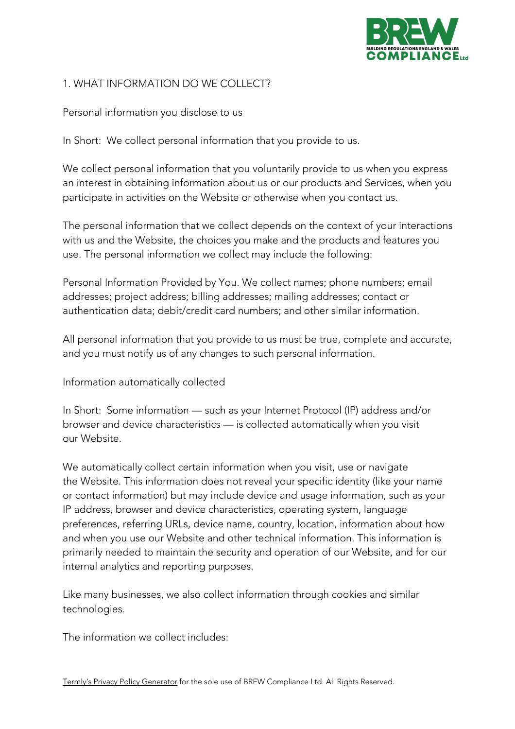

## 1. WHAT INFORMATION DO WE COLLECT?

Personal information you disclose to us

In Short: We collect personal information that you provide to us.

We collect personal information that you voluntarily provide to us when you express an interest in obtaining information about us or our products and Services, when you participate in activities on the Website or otherwise when you contact us.

The personal information that we collect depends on the context of your interactions with us and the Website, the choices you make and the products and features you use. The personal information we collect may include the following:

Personal Information Provided by You. We collect names; phone numbers; email addresses; project address; billing addresses; mailing addresses; contact or authentication data; debit/credit card numbers; and other similar information.

All personal information that you provide to us must be true, complete and accurate, and you must notify us of any changes to such personal information.

Information automatically collected

In Short: Some information — such as your Internet Protocol (IP) address and/or browser and device characteristics — is collected automatically when you visit our Website.

We automatically collect certain information when you visit, use or navigate the Website. This information does not reveal your specific identity (like your name or contact information) but may include device and usage information, such as your IP address, browser and device characteristics, operating system, language preferences, referring URLs, device name, country, location, information about how and when you use our Website and other technical information. This information is primarily needed to maintain the security and operation of our Website, and for our internal analytics and reporting purposes.

Like many businesses, we also collect information through cookies and similar technologies.

The information we collect includes: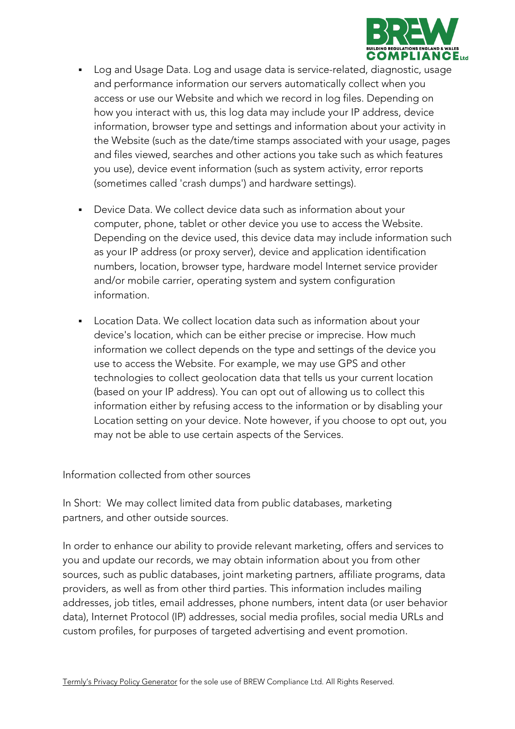

- Log and Usage Data. Log and usage data is service-related, diagnostic, usage and performance information our servers automatically collect when you access or use our Website and which we record in log files. Depending on how you interact with us, this log data may include your IP address, device information, browser type and settings and information about your activity in the Website (such as the date/time stamps associated with your usage, pages and files viewed, searches and other actions you take such as which features you use), device event information (such as system activity, error reports (sometimes called 'crash dumps') and hardware settings).
- Device Data. We collect device data such as information about your computer, phone, tablet or other device you use to access the Website. Depending on the device used, this device data may include information such as your IP address (or proxy server), device and application identification numbers, location, browser type, hardware model Internet service provider and/or mobile carrier, operating system and system configuration information.
- Location Data. We collect location data such as information about your device's location, which can be either precise or imprecise. How much information we collect depends on the type and settings of the device you use to access the Website. For example, we may use GPS and other technologies to collect geolocation data that tells us your current location (based on your IP address). You can opt out of allowing us to collect this information either by refusing access to the information or by disabling your Location setting on your device. Note however, if you choose to opt out, you may not be able to use certain aspects of the Services.

Information collected from other sources

In Short: We may collect limited data from public databases, marketing partners, and other outside sources.

In order to enhance our ability to provide relevant marketing, offers and services to you and update our records, we may obtain information about you from other sources, such as public databases, joint marketing partners, affiliate programs, data providers, as well as from other third parties. This information includes mailing addresses, job titles, email addresses, phone numbers, intent data (or user behavior data), Internet Protocol (IP) addresses, social media profiles, social media URLs and custom profiles, for purposes of targeted advertising and event promotion.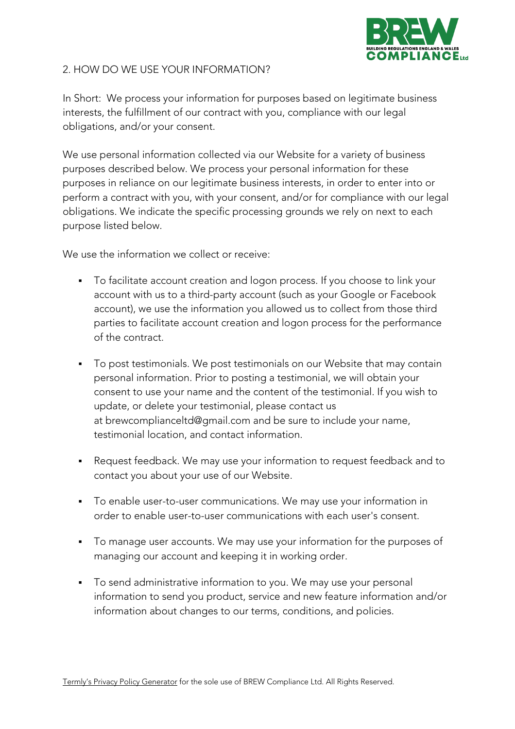

### 2. HOW DO WE USE YOUR INFORMATION?

In Short: We process your information for purposes based on legitimate business interests, the fulfillment of our contract with you, compliance with our legal obligations, and/or your consent.

We use personal information collected via our Website for a variety of business purposes described below. We process your personal information for these purposes in reliance on our legitimate business interests, in order to enter into or perform a contract with you, with your consent, and/or for compliance with our legal obligations. We indicate the specific processing grounds we rely on next to each purpose listed below.

We use the information we collect or receive:

- To facilitate account creation and logon process. If you choose to link your account with us to a third-party account (such as your Google or Facebook account), we use the information you allowed us to collect from those third parties to facilitate account creation and logon process for the performance of the contract.
- § To post testimonials. We post testimonials on our Website that may contain personal information. Prior to posting a testimonial, we will obtain your consent to use your name and the content of the testimonial. If you wish to update, or delete your testimonial, please contact us at brewcomplianceltd@gmail.com and be sure to include your name, testimonial location, and contact information.
- Request feedback. We may use your information to request feedback and to contact you about your use of our Website.
- § To enable user-to-user communications. We may use your information in order to enable user-to-user communications with each user's consent.
- To manage user accounts. We may use your information for the purposes of managing our account and keeping it in working order.
- To send administrative information to you. We may use your personal information to send you product, service and new feature information and/or information about changes to our terms, conditions, and policies.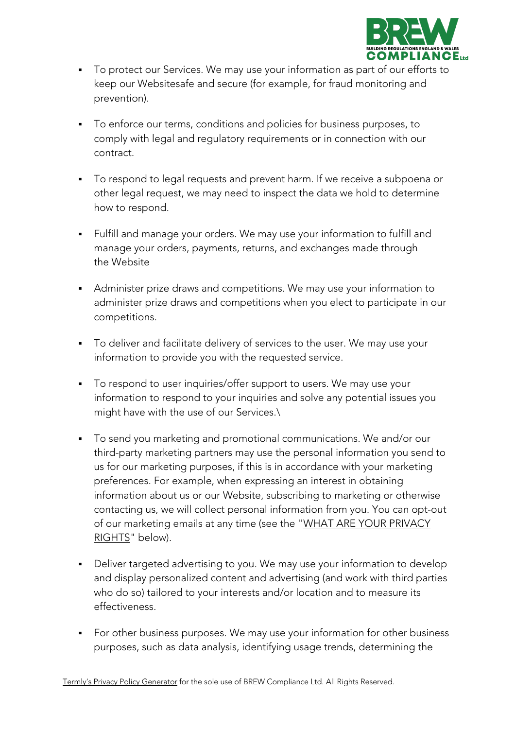

- To protect our Services. We may use your information as part of our efforts to keep our Websitesafe and secure (for example, for fraud monitoring and prevention).
- § To enforce our terms, conditions and policies for business purposes, to comply with legal and regulatory requirements or in connection with our contract.
- § To respond to legal requests and prevent harm. If we receive a subpoena or other legal request, we may need to inspect the data we hold to determine how to respond.
- § Fulfill and manage your orders. We may use your information to fulfill and manage your orders, payments, returns, and exchanges made through the Website
- Administer prize draws and competitions. We may use your information to administer prize draws and competitions when you elect to participate in our competitions.
- § To deliver and facilitate delivery of services to the user. We may use your information to provide you with the requested service.
- To respond to user inquiries/offer support to users. We may use your information to respond to your inquiries and solve any potential issues you might have with the use of our Services.\
- § To send you marketing and promotional communications. We and/or our third-party marketing partners may use the personal information you send to us for our marketing purposes, if this is in accordance with your marketing preferences. For example, when expressing an interest in obtaining information about us or our Website, subscribing to marketing or otherwise contacting us, we will collect personal information from you. You can opt-out of our marketing emails at any time (see the "WHAT ARE YOUR PRIVACY RIGHTS" below).
- Deliver targeted advertising to you. We may use your information to develop and display personalized content and advertising (and work with third parties who do so) tailored to your interests and/or location and to measure its effectiveness.
- For other business purposes. We may use your information for other business purposes, such as data analysis, identifying usage trends, determining the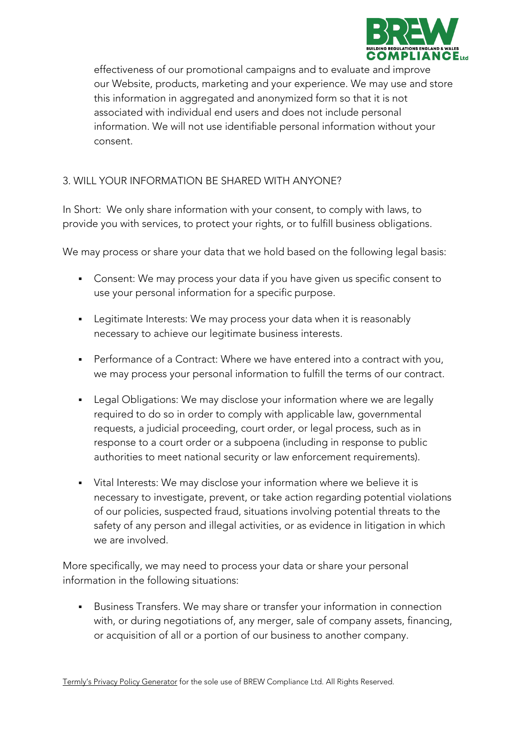

effectiveness of our promotional campaigns and to evaluate and improve our Website, products, marketing and your experience. We may use and store this information in aggregated and anonymized form so that it is not associated with individual end users and does not include personal information. We will not use identifiable personal information without your consent.

### 3. WILL YOUR INFORMATION BE SHARED WITH ANYONE?

In Short: We only share information with your consent, to comply with laws, to provide you with services, to protect your rights, or to fulfill business obligations.

We may process or share your data that we hold based on the following legal basis:

- Consent: We may process your data if you have given us specific consent to use your personal information for a specific purpose.
- Legitimate Interests: We may process your data when it is reasonably necessary to achieve our legitimate business interests.
- Performance of a Contract: Where we have entered into a contract with you, we may process your personal information to fulfill the terms of our contract.
- Legal Obligations: We may disclose your information where we are legally required to do so in order to comply with applicable law, governmental requests, a judicial proceeding, court order, or legal process, such as in response to a court order or a subpoena (including in response to public authorities to meet national security or law enforcement requirements).
- Vital Interests: We may disclose your information where we believe it is necessary to investigate, prevent, or take action regarding potential violations of our policies, suspected fraud, situations involving potential threats to the safety of any person and illegal activities, or as evidence in litigation in which we are involved.

More specifically, we may need to process your data or share your personal information in the following situations:

■ Business Transfers. We may share or transfer your information in connection with, or during negotiations of, any merger, sale of company assets, financing, or acquisition of all or a portion of our business to another company.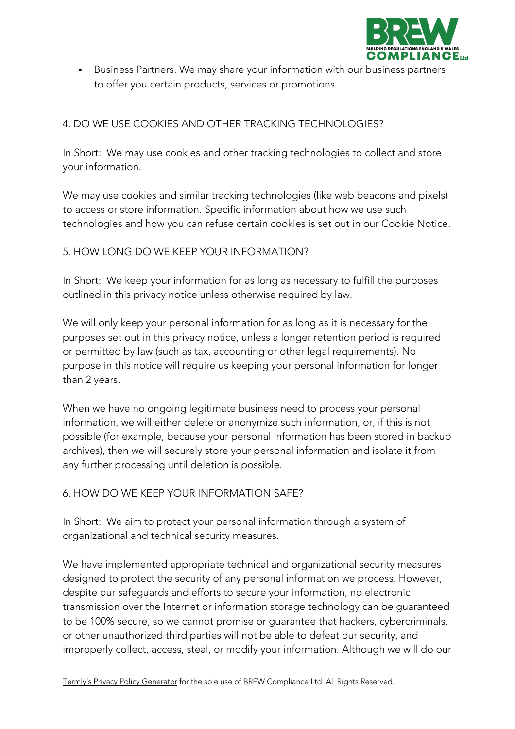

■ Business Partners. We may share your information with our business partners to offer you certain products, services or promotions.

# 4. DO WE USE COOKIES AND OTHER TRACKING TECHNOLOGIES?

In Short: We may use cookies and other tracking technologies to collect and store your information.

We may use cookies and similar tracking technologies (like web beacons and pixels) to access or store information. Specific information about how we use such technologies and how you can refuse certain cookies is set out in our Cookie Notice.

## 5. HOW LONG DO WE KEEP YOUR INFORMATION?

In Short: We keep your information for as long as necessary to fulfill the purposes outlined in this privacy notice unless otherwise required by law.

We will only keep your personal information for as long as it is necessary for the purposes set out in this privacy notice, unless a longer retention period is required or permitted by law (such as tax, accounting or other legal requirements). No purpose in this notice will require us keeping your personal information for longer than 2 years.

When we have no ongoing legitimate business need to process your personal information, we will either delete or anonymize such information, or, if this is not possible (for example, because your personal information has been stored in backup archives), then we will securely store your personal information and isolate it from any further processing until deletion is possible.

#### 6. HOW DO WE KEEP YOUR INFORMATION SAFE?

In Short: We aim to protect your personal information through a system of organizational and technical security measures.

We have implemented appropriate technical and organizational security measures designed to protect the security of any personal information we process. However, despite our safeguards and efforts to secure your information, no electronic transmission over the Internet or information storage technology can be guaranteed to be 100% secure, so we cannot promise or guarantee that hackers, cybercriminals, or other unauthorized third parties will not be able to defeat our security, and improperly collect, access, steal, or modify your information. Although we will do our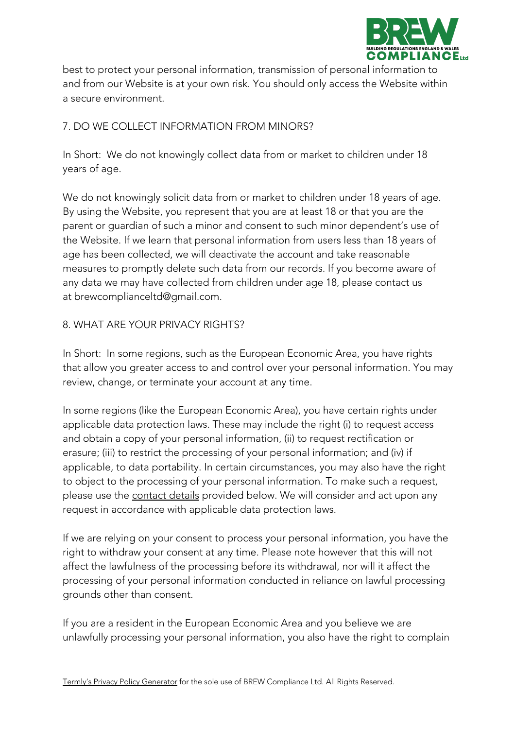

best to protect your personal information, transmission of personal information to and from our Website is at your own risk. You should only access the Website within a secure environment.

# 7. DO WE COLLECT INFORMATION FROM MINORS?

In Short: We do not knowingly collect data from or market to children under 18 years of age.

We do not knowingly solicit data from or market to children under 18 years of age. By using the Website, you represent that you are at least 18 or that you are the parent or guardian of such a minor and consent to such minor dependent's use of the Website. If we learn that personal information from users less than 18 years of age has been collected, we will deactivate the account and take reasonable measures to promptly delete such data from our records. If you become aware of any data we may have collected from children under age 18, please contact us at brewcomplianceltd@gmail.com.

#### 8. WHAT ARE YOUR PRIVACY RIGHTS?

In Short: In some regions, such as the European Economic Area, you have rights that allow you greater access to and control over your personal information. You may review, change, or terminate your account at any time.

In some regions (like the European Economic Area), you have certain rights under applicable data protection laws. These may include the right (i) to request access and obtain a copy of your personal information, (ii) to request rectification or erasure; (iii) to restrict the processing of your personal information; and (iv) if applicable, to data portability. In certain circumstances, you may also have the right to object to the processing of your personal information. To make such a request, please use the contact details provided below. We will consider and act upon any request in accordance with applicable data protection laws.

If we are relying on your consent to process your personal information, you have the right to withdraw your consent at any time. Please note however that this will not affect the lawfulness of the processing before its withdrawal, nor will it affect the processing of your personal information conducted in reliance on lawful processing grounds other than consent.

If you are a resident in the European Economic Area and you believe we are unlawfully processing your personal information, you also have the right to complain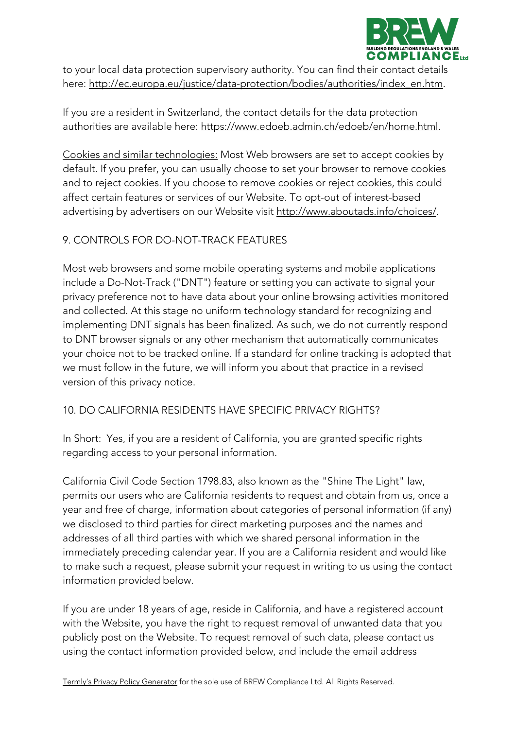

to your local data protection supervisory authority. You can find their contact details here: http://ec.europa.eu/justice/data-protection/bodies/authorities/index\_en.htm.

If you are a resident in Switzerland, the contact details for the data protection authorities are available here: https://www.edoeb.admin.ch/edoeb/en/home.html.

Cookies and similar technologies: Most Web browsers are set to accept cookies by default. If you prefer, you can usually choose to set your browser to remove cookies and to reject cookies. If you choose to remove cookies or reject cookies, this could affect certain features or services of our Website. To opt-out of interest-based advertising by advertisers on our Website visit http://www.aboutads.info/choices/.

#### 9. CONTROLS FOR DO-NOT-TRACK FEATURES

Most web browsers and some mobile operating systems and mobile applications include a Do-Not-Track ("DNT") feature or setting you can activate to signal your privacy preference not to have data about your online browsing activities monitored and collected. At this stage no uniform technology standard for recognizing and implementing DNT signals has been finalized. As such, we do not currently respond to DNT browser signals or any other mechanism that automatically communicates your choice not to be tracked online. If a standard for online tracking is adopted that we must follow in the future, we will inform you about that practice in a revised version of this privacy notice.

## 10. DO CALIFORNIA RESIDENTS HAVE SPECIFIC PRIVACY RIGHTS?

In Short: Yes, if you are a resident of California, you are granted specific rights regarding access to your personal information.

California Civil Code Section 1798.83, also known as the "Shine The Light" law, permits our users who are California residents to request and obtain from us, once a year and free of charge, information about categories of personal information (if any) we disclosed to third parties for direct marketing purposes and the names and addresses of all third parties with which we shared personal information in the immediately preceding calendar year. If you are a California resident and would like to make such a request, please submit your request in writing to us using the contact information provided below.

If you are under 18 years of age, reside in California, and have a registered account with the Website, you have the right to request removal of unwanted data that you publicly post on the Website. To request removal of such data, please contact us using the contact information provided below, and include the email address